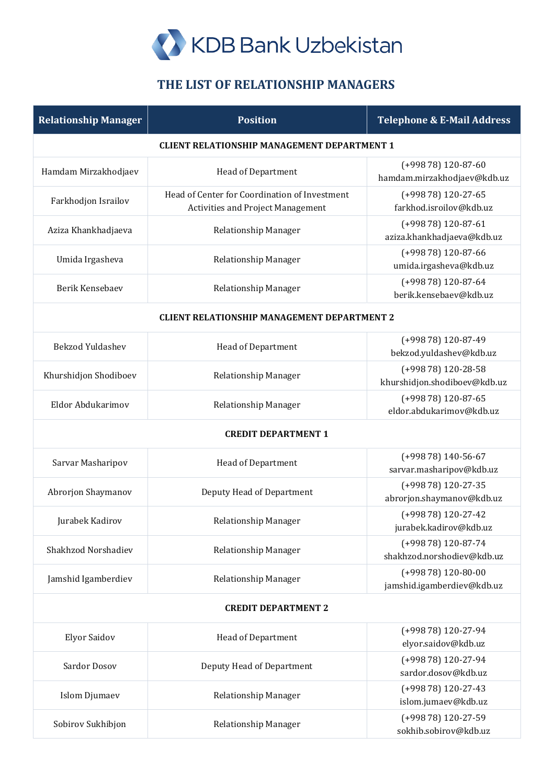

## **THE LIST OF RELATIONSHIP MANAGERS**

| <b>Relationship Manager</b>                        | <b>Position</b>                                                                           | <b>Telephone &amp; E-Mail Address</b>               |  |
|----------------------------------------------------|-------------------------------------------------------------------------------------------|-----------------------------------------------------|--|
| <b>CLIENT RELATIONSHIP MANAGEMENT DEPARTMENT 1</b> |                                                                                           |                                                     |  |
| Hamdam Mirzakhodjaev                               | <b>Head of Department</b>                                                                 | $(+99878)$ 120-87-60<br>hamdam.mirzakhodjaev@kdb.uz |  |
| Farkhodjon Israilov                                | Head of Center for Coordination of Investment<br><b>Activities and Project Management</b> | (+998 78) 120-27-65<br>farkhod.isroilov@kdb.uz      |  |
| Aziza Khankhadjaeva                                | Relationship Manager                                                                      | $(+99878)$ 120-87-61<br>aziza.khankhadjaeva@kdb.uz  |  |
| Umida Irgasheva                                    | Relationship Manager                                                                      | (+998 78) 120-87-66<br>umida.irgasheva@kdb.uz       |  |
| Berik Kensebaev                                    | Relationship Manager                                                                      | (+998 78) 120-87-64<br>berik.kensebaev@kdb.uz       |  |
| <b>CLIENT RELATIONSHIP MANAGEMENT DEPARTMENT 2</b> |                                                                                           |                                                     |  |
| <b>Bekzod Yuldashev</b>                            | Head of Department                                                                        | (+998 78) 120-87-49<br>bekzod.yuldashev@kdb.uz      |  |
| Khurshidjon Shodiboev                              | Relationship Manager                                                                      | (+998 78) 120-28-58<br>khurshidjon.shodiboev@kdb.uz |  |
| Eldor Abdukarimov                                  | Relationship Manager                                                                      | (+998 78) 120-87-65<br>eldor.abdukarimov@kdb.uz     |  |
| <b>CREDIT DEPARTMENT 1</b>                         |                                                                                           |                                                     |  |
| Sarvar Masharipov                                  | Head of Department                                                                        | $(+99878)$ 140-56-67<br>sarvar.masharipov@kdb.uz    |  |
| Abrorjon Shaymanov                                 | Deputy Head of Department                                                                 | (+998 78) 120-27-35<br>abrorjon.shaymanov@kdb.uz    |  |
| Jurabek Kadirov                                    | Relationship Manager                                                                      | (+998 78) 120-27-42<br>jurabek.kadirov@kdb.uz       |  |
| Shakhzod Norshadiev                                | Relationship Manager                                                                      | (+998 78) 120-87-74<br>shakhzod.norshodiev@kdb.uz   |  |
| Jamshid Igamberdiev                                | Relationship Manager                                                                      | $(+99878)$ 120-80-00<br>jamshid.igamberdiev@kdb.uz  |  |
| <b>CREDIT DEPARTMENT 2</b>                         |                                                                                           |                                                     |  |
| <b>Elyor Saidov</b>                                | <b>Head of Department</b>                                                                 | (+998 78) 120-27-94<br>elyor.saidov@kdb.uz          |  |
| Sardor Dosov                                       | Deputy Head of Department                                                                 | (+998 78) 120-27-94<br>sardor.dosov@kdb.uz          |  |
| <b>Islom Djumaev</b>                               | Relationship Manager                                                                      | (+998 78) 120-27-43<br>islom.jumaev@kdb.uz          |  |
| Sobirov Sukhibjon                                  | Relationship Manager                                                                      | (+998 78) 120-27-59<br>sokhib.sobirov@kdb.uz        |  |